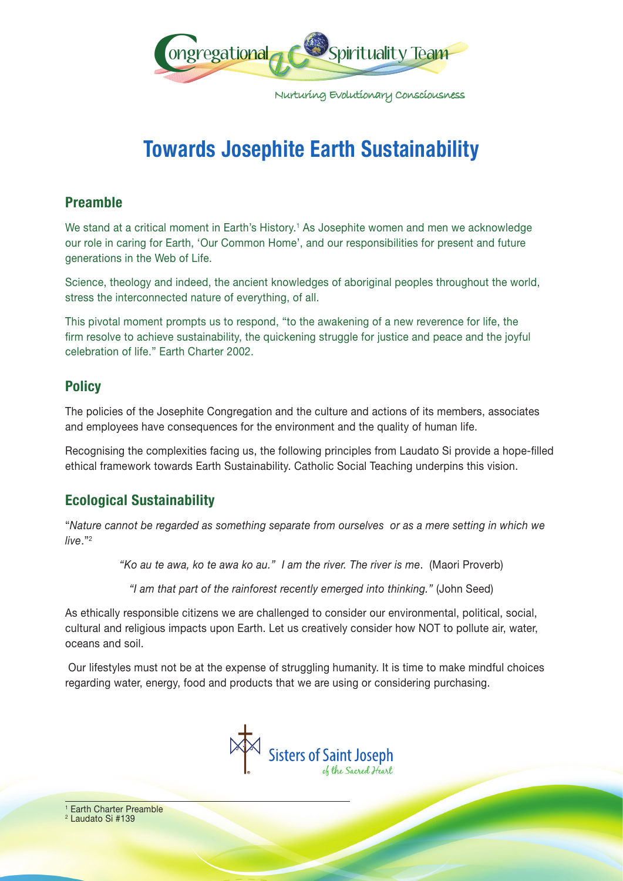

Nurturing Evolutionary Consciousness

# **Towards Josephite Earth Sustainability**

## **Preamble**

We stand at a critical moment in Earth's History.<sup>1</sup> As Josephite women and men we acknowledge our role in caring for Earth, 'Our Common Home', and our responsibilities for present and future generations in the Web of Life.

Science, theology and indeed, the ancient knowledges of aboriginal peoples throughout the world, stress the interconnected nature of everything, of all.

This pivotal moment prompts us to respond, "to the awakening of a new reverence for life, the firm resolve to achieve sustainability, the quickening struggle for justice and peace and the joyful celebration of life." Earth Charter 2002.

# **Policy**

The policies of the Josephite Congregation and the culture and actions of its members, associates and employees have consequences for the environment and the quality of human life.

Recognising the complexities facing us, the following principles from Laudato Si provide a hope-filled ethical framework towards Earth Sustainability. Catholic Social Teaching underpins this vision.

# **Ecological Sustainability**

"*Nature cannot be regarded as something separate from ourselves or as a mere setting in which we live*."2

*"Ko au te awa, ko te awa ko au." I am the river. The river is me*. (Maori Proverb)

*"I am that part of the rainforest recently emerged into thinking."* (John Seed)

As ethically responsible citizens we are challenged to consider our environmental, political, social, cultural and religious impacts upon Earth. Let us creatively consider how NOT to pollute air, water, oceans and soil.

 Our lifestyles must not be at the expense of struggling humanity. It is time to make mindful choices regarding water, energy, food and products that we are using or considering purchasing.



<sup>1</sup> Earth Charter Preamble <sup>2</sup> Laudato Si #139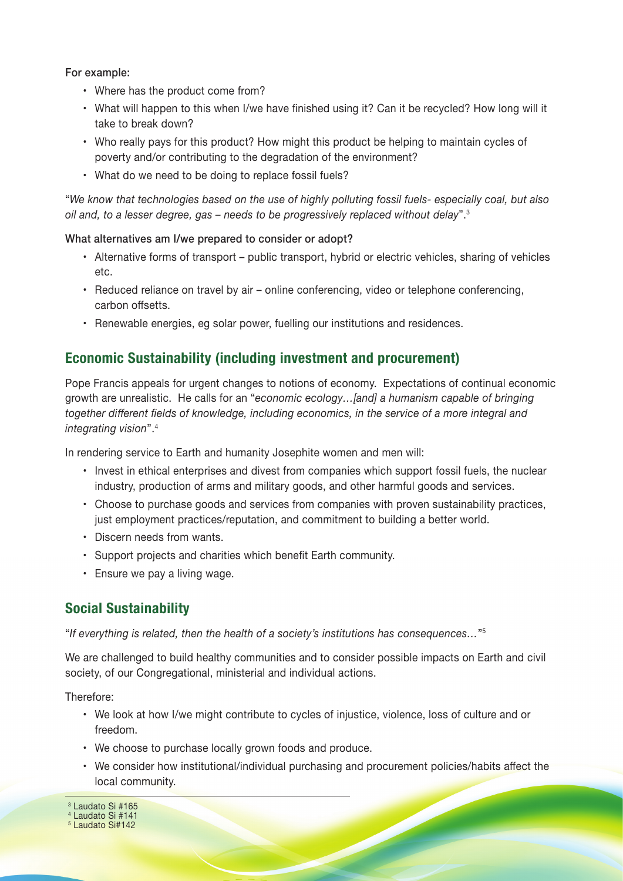For example:

- Where has the product come from?
- What will happen to this when I/we have finished using it? Can it be recycled? How long will it take to break down?
- Who really pays for this product? How might this product be helping to maintain cycles of poverty and/or contributing to the degradation of the environment?
- What do we need to be doing to replace fossil fuels?

"*We know that technologies based on the use of highly polluting fossil fuels- especially coal, but also oil and, to a lesser degree, gas – needs to be progressively replaced without delay*".3

#### What alternatives am I/we prepared to consider or adopt?

- Alternative forms of transport public transport, hybrid or electric vehicles, sharing of vehicles etc.
- Reduced reliance on travel by air online conferencing, video or telephone conferencing, carbon offsetts.
- Renewable energies, eg solar power, fuelling our institutions and residences.

#### **Economic Sustainability (including investment and procurement)**

Pope Francis appeals for urgent changes to notions of economy. Expectations of continual economic growth are unrealistic. He calls for an "*economic ecology…[and] a humanism capable of bringing together different fields of knowledge, including economics, in the service of a more integral and integrating vision*".4

In rendering service to Earth and humanity Josephite women and men will:

- Invest in ethical enterprises and divest from companies which support fossil fuels, the nuclear industry, production of arms and military goods, and other harmful goods and services.
- Choose to purchase goods and services from companies with proven sustainability practices, just employment practices/reputation, and commitment to building a better world.
- Discern needs from wants.
- Support projects and charities which benefit Earth community.
- Ensure we pay a living wage.

### **Social Sustainability**

"*If everything is related, then the health of a society's institutions has consequences…*"5

We are challenged to build healthy communities and to consider possible impacts on Earth and civil society, of our Congregational, ministerial and individual actions.

Therefore:

- We look at how I/we might contribute to cycles of injustice, violence, loss of culture and or freedom.
- We choose to purchase locally grown foods and produce.
- We consider how institutional/individual purchasing and procurement policies/habits affect the local community.

<sup>3</sup> Laudato Si #165 4 Laudato Si #141

5 Laudato Si#142